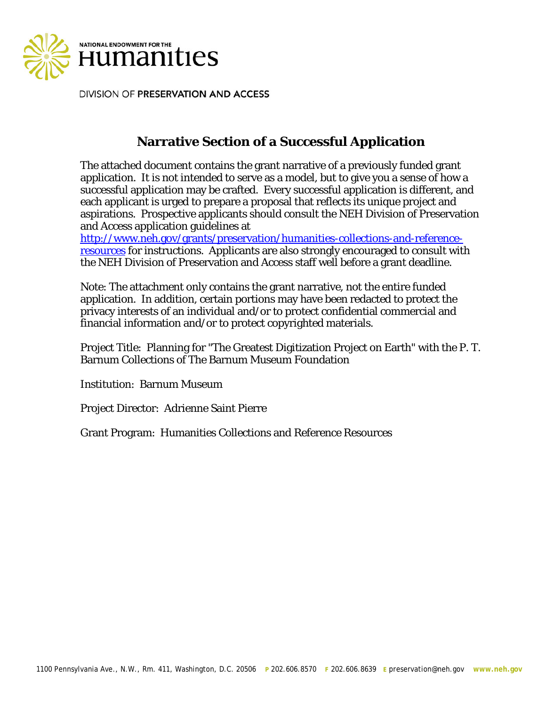

DIVISION OF PRESERVATION AND ACCESS

# **Narrative Section of a Successful Application**

The attached document contains the grant narrative of a previously funded grant application. It is not intended to serve as a model, but to give you a sense of how a successful application may be crafted. Every successful application is different, and each applicant is urged to prepare a proposal that reflects its unique project and aspirations. Prospective applicants should consult the NEH Division of Preservation and Access application guidelines at

http://www.neh.gov/grants/preservation/humanities-collections-and-referenceresources for instructions. Applicants are also strongly encouraged to consult with the NEH Division of Preservation and Access staff well before a grant deadline.

Note: The attachment only contains the grant narrative, not the entire funded application. In addition, certain portions may have been redacted to protect the privacy interests of an individual and/or to protect confidential commercial and financial information and/or to protect copyrighted materials.

Project Title: Planning for "The Greatest Digitization Project on Earth" with the P. T. Barnum Collections of The Barnum Museum Foundation

Institution: Barnum Museum

Project Director: Adrienne Saint Pierre

Grant Program: Humanities Collections and Reference Resources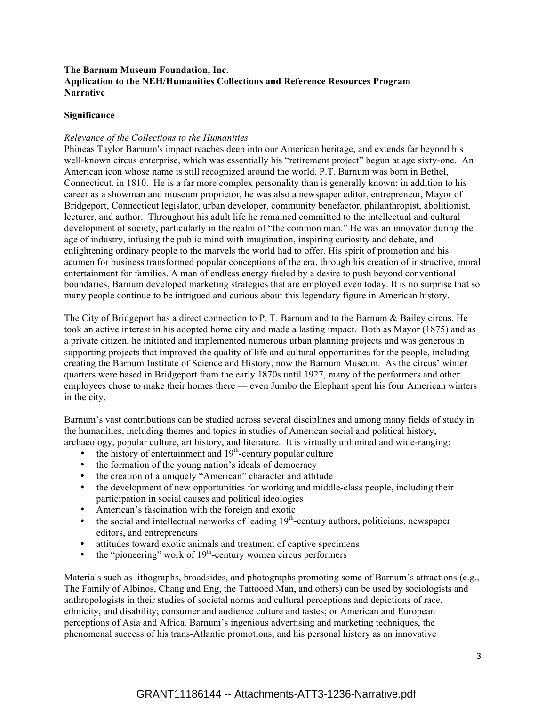## **The Barnum Museum Foundation, Inc. Application to the NEH/Humanities Collections and Reference Resources Program Narrative**

## **Significance**

#### *Relevance of the Collections to the Humanities*

Phineas Taylor Barnum's impact reaches deep into our American heritage, and extends far beyond his well-known circus enterprise, which was essentially his "retirement project" begun at age sixty-one. An American icon whose name is still recognized around the world, P.T. Barnum was born in Bethel, Connecticut, in 1810. He is a far more complex personality than is generally known: in addition to his career as a showman and museum proprietor, he was also a newspaper editor, entrepreneur, Mayor of Bridgeport, Connecticut legislator, urban developer, community benefactor, philanthropist, abolitionist, lecturer, and author. Throughout his adult life he remained committed to the intellectual and cultural development of society, particularly in the realm of "the common man." He was an innovator during the age of industry, infusing the public mind with imagination, inspiring curiosity and debate, and enlightening ordinary people to the marvels the world had to offer. His spirit of promotion and his acumen for business transformed popular conceptions of the era, through his creation of instructive, moral entertainment for families. A man of endless energy fueled by a desire to push beyond conventional boundaries, Barnum developed marketing strategies that are employed even today. It is no surprise that so many people continue to be intrigued and curious about this legendary figure in American history.

The City of Bridgeport has a direct connection to P. T. Barnum and to the Barnum & Bailey circus. He took an active interest in his adopted home city and made a lasting impact. Both as Mayor (1875) and as a private citizen, he initiated and implemented numerous urban planning projects and was generous in supporting projects that improved the quality of life and cultural opportunities for the people, including creating the Barnum Institute of Science and History, now the Barnum Museum. As the circus' winter quarters were based in Bridgeport from the early 1870s until 1927, many of the performers and other employees chose to make their homes there — even Jumbo the Elephant spent his four American winters in the city.

Barnum's vast contributions can be studied across several disciplines and among many fields of study in the humanities, including themes and topics in studies of American social and political history, archaeology, popular culture, art history, and literature. It is virtually unlimited and wide-ranging:

- the history of entertainment and  $19<sup>th</sup>$ -century popular culture
- the formation of the young nation's ideals of democracy
- the creation of a uniquely "American" character and attitude
- the development of new opportunities for working and middle-class people, including their participation in social causes and political ideologies
- American's fascination with the foreign and exotic
- the social and intellectual networks of leading  $19<sup>th</sup>$ -century authors, politicians, newspaper editors, and entrepreneurs
- attitudes toward exotic animals and treatment of captive specimens
- the "pioneering" work of  $19<sup>th</sup>$ -century women circus performers

Materials such as lithographs, broadsides, and photographs promoting some of Barnum's attractions (e.g., The Family of Albinos, Chang and Eng, the Tattooed Man, and others) can be used by sociologists and anthropologists in their studies of societal norms and cultural perceptions and depictions of race, ethnicity, and disability; consumer and audience culture and tastes; or American and European perceptions of Asia and Africa. Barnum's ingenious advertising and marketing techniques, the phenomenal success of his trans-Atlantic promotions, and his personal history as an innovative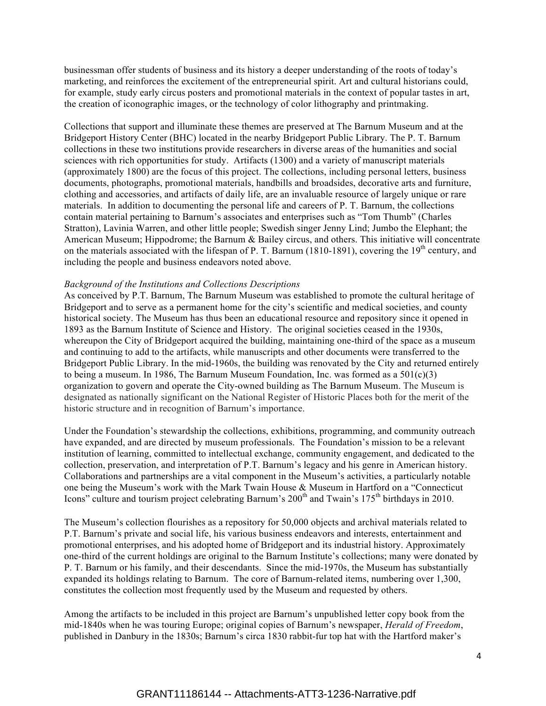businessman offer students of business and its history a deeper understanding of the roots of today's marketing, and reinforces the excitement of the entrepreneurial spirit. Art and cultural historians could, for example, study early circus posters and promotional materials in the context of popular tastes in art, the creation of iconographic images, or the technology of color lithography and printmaking.

Collections that support and illuminate these themes are preserved at The Barnum Museum and at the Bridgeport History Center (BHC) located in the nearby Bridgeport Public Library. The P. T. Barnum collections in these two institutions provide researchers in diverse areas of the humanities and social sciences with rich opportunities for study. Artifacts (1300) and a variety of manuscript materials (approximately 1800) are the focus of this project. The collections, including personal letters, business documents, photographs, promotional materials, handbills and broadsides, decorative arts and furniture, clothing and accessories, and artifacts of daily life, are an invaluable resource of largely unique or rare materials. In addition to documenting the personal life and careers of P. T. Barnum, the collections contain material pertaining to Barnum's associates and enterprises such as "Tom Thumb" (Charles Stratton), Lavinia Warren, and other little people; Swedish singer Jenny Lind; Jumbo the Elephant; the American Museum; Hippodrome; the Barnum & Bailey circus, and others. This initiative will concentrate on the materials associated with the lifespan of P. T. Barnum (1810-1891), covering the  $19<sup>th</sup>$  century, and including the people and business endeavors noted above.

#### *Background of the Institutions and Collections Descriptions*

As conceived by P.T. Barnum, The Barnum Museum was established to promote the cultural heritage of Bridgeport and to serve as a permanent home for the city's scientific and medical societies, and county historical society. The Museum has thus been an educational resource and repository since it opened in 1893 as the Barnum Institute of Science and History. The original societies ceased in the 1930s, whereupon the City of Bridgeport acquired the building, maintaining one-third of the space as a museum and continuing to add to the artifacts, while manuscripts and other documents were transferred to the Bridgeport Public Library. In the mid-1960s, the building was renovated by the City and returned entirely to being a museum. In 1986, The Barnum Museum Foundation, Inc. was formed as a  $501(c)(3)$ organization to govern and operate the City-owned building as The Barnum Museum. The Museum is designated as nationally significant on the National Register of Historic Places both for the merit of the historic structure and in recognition of Barnum's importance.

Under the Foundation's stewardship the collections, exhibitions, programming, and community outreach have expanded, and are directed by museum professionals. The Foundation's mission to be a relevant institution of learning, committed to intellectual exchange, community engagement, and dedicated to the collection, preservation, and interpretation of P.T. Barnum's legacy and his genre in American history. Collaborations and partnerships are a vital component in the Museum's activities, a particularly notable one being the Museum's work with the Mark Twain House & Museum in Hartford on a "Connecticut Icons" culture and tourism project celebrating Barnum's 200<sup>th</sup> and Twain's 175<sup>th</sup> birthdays in 2010.

The Museum's collection flourishes as a repository for 50,000 objects and archival materials related to P.T. Barnum's private and social life, his various business endeavors and interests, entertainment and promotional enterprises, and his adopted home of Bridgeport and its industrial history. Approximately one-third of the current holdings are original to the Barnum Institute's collections; many were donated by P. T. Barnum or his family, and their descendants. Since the mid-1970s, the Museum has substantially expanded its holdings relating to Barnum. The core of Barnum-related items, numbering over 1,300, constitutes the collection most frequently used by the Museum and requested by others.

Among the artifacts to be included in this project are Barnum's unpublished letter copy book from the mid-1840s when he was touring Europe; original copies of Barnum's newspaper, *Herald of Freedom*, published in Danbury in the 1830s; Barnum's circa 1830 rabbit-fur top hat with the Hartford maker's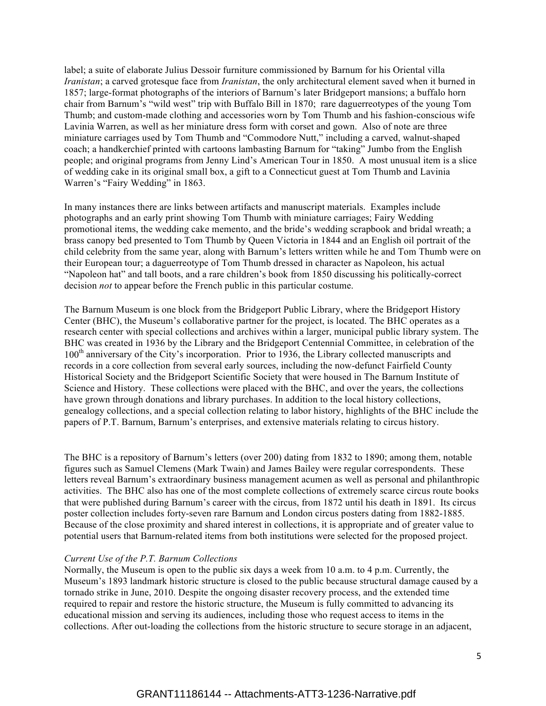label; a suite of elaborate Julius Dessoir furniture commissioned by Barnum for his Oriental villa *Iranistan*; a carved grotesque face from *Iranistan*, the only architectural element saved when it burned in 1857; large-format photographs of the interiors of Barnum's later Bridgeport mansions; a buffalo horn chair from Barnum's "wild west" trip with Buffalo Bill in 1870; rare daguerreotypes of the young Tom Thumb; and custom-made clothing and accessories worn by Tom Thumb and his fashion-conscious wife Lavinia Warren, as well as her miniature dress form with corset and gown. Also of note are three miniature carriages used by Tom Thumb and "Commodore Nutt," including a carved, walnut-shaped coach; a handkerchief printed with cartoons lambasting Barnum for "taking" Jumbo from the English people; and original programs from Jenny Lind's American Tour in 1850. A most unusual item is a slice of wedding cake in its original small box, a gift to a Connecticut guest at Tom Thumb and Lavinia Warren's "Fairy Wedding" in 1863.

In many instances there are links between artifacts and manuscript materials. Examples include photographs and an early print showing Tom Thumb with miniature carriages; Fairy Wedding promotional items, the wedding cake memento, and the bride's wedding scrapbook and bridal wreath; a brass canopy bed presented to Tom Thumb by Queen Victoria in 1844 and an English oil portrait of the child celebrity from the same year, along with Barnum's letters written while he and Tom Thumb were on their European tour; a daguerreotype of Tom Thumb dressed in character as Napoleon, his actual "Napoleon hat" and tall boots, and a rare children's book from 1850 discussing his politically-correct decision *not* to appear before the French public in this particular costume.

The Barnum Museum is one block from the Bridgeport Public Library, where the Bridgeport History Center (BHC), the Museum's collaborative partner for the project, is located. The BHC operates as a research center with special collections and archives within a larger, municipal public library system. The BHC was created in 1936 by the Library and the Bridgeport Centennial Committee, in celebration of the 100<sup>th</sup> anniversary of the City's incorporation. Prior to 1936, the Library collected manuscripts and records in a core collection from several early sources, including the now-defunct Fairfield County Historical Society and the Bridgeport Scientific Society that were housed in The Barnum Institute of Science and History. These collections were placed with the BHC, and over the years, the collections have grown through donations and library purchases. In addition to the local history collections, genealogy collections, and a special collection relating to labor history, highlights of the BHC include the papers of P.T. Barnum, Barnum's enterprises, and extensive materials relating to circus history.

The BHC is a repository of Barnum's letters (over 200) dating from 1832 to 1890; among them, notable figures such as Samuel Clemens (Mark Twain) and James Bailey were regular correspondents. These letters reveal Barnum's extraordinary business management acumen as well as personal and philanthropic activities. The BHC also has one of the most complete collections of extremely scarce circus route books that were published during Barnum's career with the circus, from 1872 until his death in 1891. Its circus poster collection includes forty-seven rare Barnum and London circus posters dating from 1882-1885. Because of the close proximity and shared interest in collections, it is appropriate and of greater value to potential users that Barnum-related items from both institutions were selected for the proposed project.

#### *Current Use of the P.T. Barnum Collections*

Normally, the Museum is open to the public six days a week from 10 a.m. to 4 p.m. Currently, the Museum's 1893 landmark historic structure is closed to the public because structural damage caused by a tornado strike in June, 2010. Despite the ongoing disaster recovery process, and the extended time required to repair and restore the historic structure, the Museum is fully committed to advancing its educational mission and serving its audiences, including those who request access to items in the collections. After out-loading the collections from the historic structure to secure storage in an adjacent,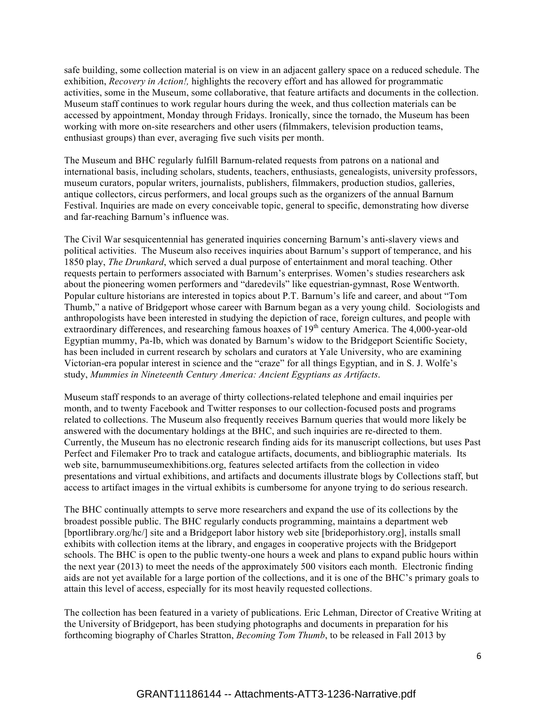safe building, some collection material is on view in an adjacent gallery space on a reduced schedule. The exhibition, *Recovery in Action!,* highlights the recovery effort and has allowed for programmatic activities, some in the Museum, some collaborative, that feature artifacts and documents in the collection. Museum staff continues to work regular hours during the week, and thus collection materials can be accessed by appointment, Monday through Fridays. Ironically, since the tornado, the Museum has been working with more on-site researchers and other users (filmmakers, television production teams, enthusiast groups) than ever, averaging five such visits per month.

The Museum and BHC regularly fulfill Barnum-related requests from patrons on a national and international basis, including scholars, students, teachers, enthusiasts, genealogists, university professors, museum curators, popular writers, journalists, publishers, filmmakers, production studios, galleries, antique collectors, circus performers, and local groups such as the organizers of the annual Barnum Festival. Inquiries are made on every conceivable topic, general to specific, demonstrating how diverse and far-reaching Barnum's influence was.

The Civil War sesquicentennial has generated inquiries concerning Barnum's anti-slavery views and political activities. The Museum also receives inquiries about Barnum's support of temperance, and his 1850 play, *The Drunkard*, which served a dual purpose of entertainment and moral teaching. Other requests pertain to performers associated with Barnum's enterprises. Women's studies researchers ask about the pioneering women performers and "daredevils" like equestrian-gymnast, Rose Wentworth. Popular culture historians are interested in topics about P.T. Barnum's life and career, and about "Tom Thumb," a native of Bridgeport whose career with Barnum began as a very young child. Sociologists and anthropologists have been interested in studying the depiction of race, foreign cultures, and people with extraordinary differences, and researching famous hoaxes of 19<sup>th</sup> century America. The 4,000-year-old Egyptian mummy, Pa-Ib, which was donated by Barnum's widow to the Bridgeport Scientific Society, has been included in current research by scholars and curators at Yale University, who are examining Victorian-era popular interest in science and the "craze" for all things Egyptian, and in S. J. Wolfe's study, *Mummies in Nineteenth Century America: Ancient Egyptians as Artifacts*.

Museum staff responds to an average of thirty collections-related telephone and email inquiries per month, and to twenty Facebook and Twitter responses to our collection-focused posts and programs related to collections. The Museum also frequently receives Barnum queries that would more likely be answered with the documentary holdings at the BHC, and such inquiries are re-directed to them. Currently, the Museum has no electronic research finding aids for its manuscript collections, but uses Past Perfect and Filemaker Pro to track and catalogue artifacts, documents, and bibliographic materials. Its web site, barnummuseumexhibitions.org, features selected artifacts from the collection in video presentations and virtual exhibitions, and artifacts and documents illustrate blogs by Collections staff, but access to artifact images in the virtual exhibits is cumbersome for anyone trying to do serious research.

The BHC continually attempts to serve more researchers and expand the use of its collections by the broadest possible public. The BHC regularly conducts programming, maintains a department web [bportlibrary.org/hc/] site and a Bridgeport labor history web site [brideporhistory.org], installs small exhibits with collection items at the library, and engages in cooperative projects with the Bridgeport schools. The BHC is open to the public twenty-one hours a week and plans to expand public hours within the next year (2013) to meet the needs of the approximately 500 visitors each month. Electronic finding aids are not yet available for a large portion of the collections, and it is one of the BHC's primary goals to attain this level of access, especially for its most heavily requested collections.

The collection has been featured in a variety of publications. Eric Lehman, Director of Creative Writing at the University of Bridgeport, has been studying photographs and documents in preparation for his forthcoming biography of Charles Stratton, *Becoming Tom Thumb*, to be released in Fall 2013 by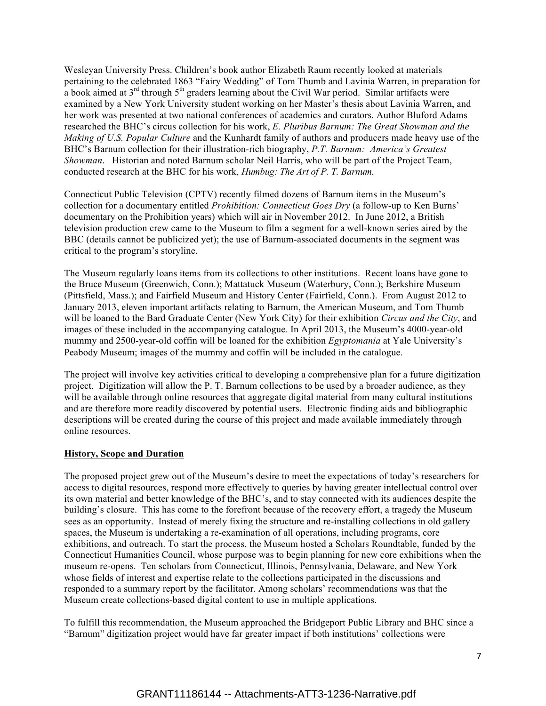Wesleyan University Press. Children's book author Elizabeth Raum recently looked at materials pertaining to the celebrated 1863 "Fairy Wedding" of Tom Thumb and Lavinia Warren, in preparation for a book aimed at  $3<sup>rd</sup>$  through  $5<sup>th</sup>$  graders learning about the Civil War period. Similar artifacts were examined by a New York University student working on her Master's thesis about Lavinia Warren, and her work was presented at two national conferences of academics and curators. Author Bluford Adams researched the BHC's circus collection for his work, *E. Pluribus Barnum: The Great Showman and the Making of U.S. Popular Culture* and the Kunhardt family of authors and producers made heavy use of the BHC's Barnum collection for their illustration-rich biography, *P.T. Barnum: America's Greatest Showman*. Historian and noted Barnum scholar Neil Harris, who will be part of the Project Team, conducted research at the BHC for his work, *Humbug: The Art of P. T. Barnum.* 

Connecticut Public Television (CPTV) recently filmed dozens of Barnum items in the Museum's collection for a documentary entitled *Prohibition: Connecticut Goes Dry* (a follow-up to Ken Burns' documentary on the Prohibition years) which will air in November 2012. In June 2012, a British television production crew came to the Museum to film a segment for a well-known series aired by the BBC (details cannot be publicized yet); the use of Barnum-associated documents in the segment was critical to the program's storyline.

The Museum regularly loans items from its collections to other institutions. Recent loans have gone to the Bruce Museum (Greenwich, Conn.); Mattatuck Museum (Waterbury, Conn.); Berkshire Museum (Pittsfield, Mass.); and Fairfield Museum and History Center (Fairfield, Conn.). From August 2012 to January 2013, eleven important artifacts relating to Barnum, the American Museum, and Tom Thumb will be loaned to the Bard Graduate Center (New York City) for their exhibition *Circus and the City*, and images of these included in the accompanying catalogue*.* In April 2013, the Museum's 4000-year-old mummy and 2500-year-old coffin will be loaned for the exhibition *Egyptomania* at Yale University's Peabody Museum; images of the mummy and coffin will be included in the catalogue.

The project will involve key activities critical to developing a comprehensive plan for a future digitization project. Digitization will allow the P. T. Barnum collections to be used by a broader audience, as they will be available through online resources that aggregate digital material from many cultural institutions and are therefore more readily discovered by potential users. Electronic finding aids and bibliographic descriptions will be created during the course of this project and made available immediately through online resources.

#### **History, Scope and Duration**

The proposed project grew out of the Museum's desire to meet the expectations of today's researchers for access to digital resources, respond more effectively to queries by having greater intellectual control over its own material and better knowledge of the BHC's, and to stay connected with its audiences despite the building's closure. This has come to the forefront because of the recovery effort, a tragedy the Museum sees as an opportunity. Instead of merely fixing the structure and re-installing collections in old gallery spaces, the Museum is undertaking a re-examination of all operations, including programs, core exhibitions, and outreach. To start the process, the Museum hosted a Scholars Roundtable, funded by the Connecticut Humanities Council, whose purpose was to begin planning for new core exhibitions when the museum re-opens. Ten scholars from Connecticut, Illinois, Pennsylvania, Delaware, and New York whose fields of interest and expertise relate to the collections participated in the discussions and responded to a summary report by the facilitator. Among scholars' recommendations was that the Museum create collections-based digital content to use in multiple applications.

To fulfill this recommendation, the Museum approached the Bridgeport Public Library and BHC since a "Barnum" digitization project would have far greater impact if both institutions' collections were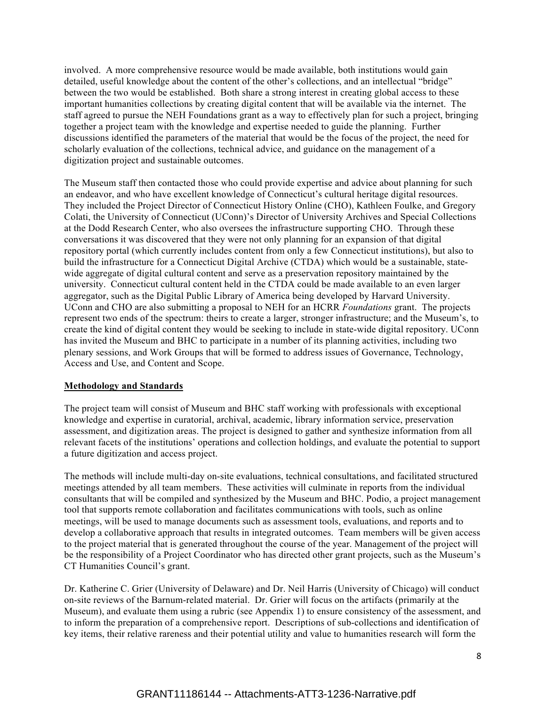involved. A more comprehensive resource would be made available, both institutions would gain detailed, useful knowledge about the content of the other's collections, and an intellectual "bridge" between the two would be established. Both share a strong interest in creating global access to these important humanities collections by creating digital content that will be available via the internet. The staff agreed to pursue the NEH Foundations grant as a way to effectively plan for such a project, bringing together a project team with the knowledge and expertise needed to guide the planning. Further discussions identified the parameters of the material that would be the focus of the project, the need for scholarly evaluation of the collections, technical advice, and guidance on the management of a digitization project and sustainable outcomes.

The Museum staff then contacted those who could provide expertise and advice about planning for such an endeavor, and who have excellent knowledge of Connecticut's cultural heritage digital resources. They included the Project Director of Connecticut History Online (CHO), Kathleen Foulke, and Gregory Colati, the University of Connecticut (UConn)'s Director of University Archives and Special Collections at the Dodd Research Center, who also oversees the infrastructure supporting CHO. Through these conversations it was discovered that they were not only planning for an expansion of that digital repository portal (which currently includes content from only a few Connecticut institutions), but also to build the infrastructure for a Connecticut Digital Archive (CTDA) which would be a sustainable, statewide aggregate of digital cultural content and serve as a preservation repository maintained by the university. Connecticut cultural content held in the CTDA could be made available to an even larger aggregator, such as the Digital Public Library of America being developed by Harvard University. UConn and CHO are also submitting a proposal to NEH for an HCRR *Foundations* grant. The projects represent two ends of the spectrum: theirs to create a larger, stronger infrastructure; and the Museum's, to create the kind of digital content they would be seeking to include in state-wide digital repository. UConn has invited the Museum and BHC to participate in a number of its planning activities, including two plenary sessions, and Work Groups that will be formed to address issues of Governance, Technology, Access and Use, and Content and Scope.

#### **Methodology and Standards**

The project team will consist of Museum and BHC staff working with professionals with exceptional knowledge and expertise in curatorial, archival, academic, library information service, preservation assessment, and digitization areas. The project is designed to gather and synthesize information from all relevant facets of the institutions' operations and collection holdings, and evaluate the potential to support a future digitization and access project.

The methods will include multi-day on-site evaluations, technical consultations, and facilitated structured meetings attended by all team members. These activities will culminate in reports from the individual consultants that will be compiled and synthesized by the Museum and BHC. Podio, a project management tool that supports remote collaboration and facilitates communications with tools, such as online meetings, will be used to manage documents such as assessment tools, evaluations, and reports and to develop a collaborative approach that results in integrated outcomes. Team members will be given access to the project material that is generated throughout the course of the year. Management of the project will be the responsibility of a Project Coordinator who has directed other grant projects, such as the Museum's CT Humanities Council's grant.

Dr. Katherine C. Grier (University of Delaware) and Dr. Neil Harris (University of Chicago) will conduct on-site reviews of the Barnum-related material. Dr. Grier will focus on the artifacts (primarily at the Museum), and evaluate them using a rubric (see Appendix 1) to ensure consistency of the assessment, and to inform the preparation of a comprehensive report. Descriptions of sub-collections and identification of key items, their relative rareness and their potential utility and value to humanities research will form the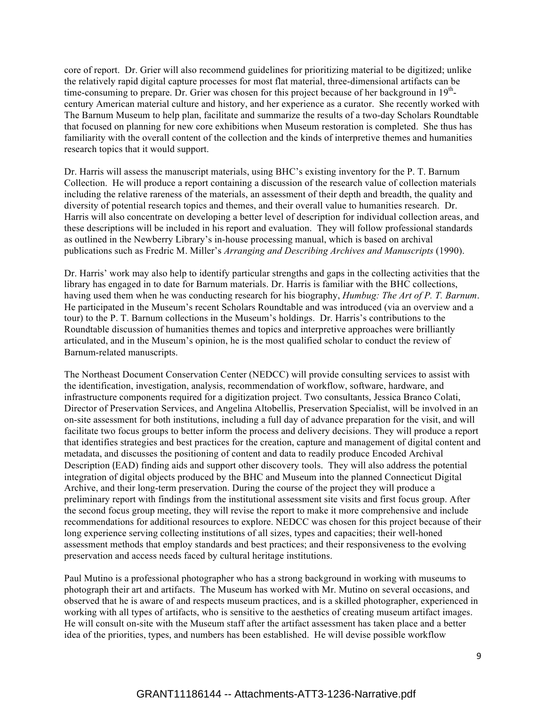core of report. Dr. Grier will also recommend guidelines for prioritizing material to be digitized; unlike the relatively rapid digital capture processes for most flat material, three-dimensional artifacts can be time-consuming to prepare. Dr. Grier was chosen for this project because of her background in  $19<sup>th</sup>$ century American material culture and history, and her experience as a curator. She recently worked with The Barnum Museum to help plan, facilitate and summarize the results of a two-day Scholars Roundtable that focused on planning for new core exhibitions when Museum restoration is completed. She thus has familiarity with the overall content of the collection and the kinds of interpretive themes and humanities research topics that it would support.

Dr. Harris will assess the manuscript materials, using BHC's existing inventory for the P. T. Barnum Collection. He will produce a report containing a discussion of the research value of collection materials including the relative rareness of the materials, an assessment of their depth and breadth, the quality and diversity of potential research topics and themes, and their overall value to humanities research. Dr. Harris will also concentrate on developing a better level of description for individual collection areas, and these descriptions will be included in his report and evaluation. They will follow professional standards as outlined in the Newberry Library's in-house processing manual, which is based on archival publications such as Fredric M. Miller's *Arranging and Describing Archives and Manuscripts* (1990).

Dr. Harris' work may also help to identify particular strengths and gaps in the collecting activities that the library has engaged in to date for Barnum materials. Dr. Harris is familiar with the BHC collections, having used them when he was conducting research for his biography, *Humbug: The Art of P. T. Barnum*. He participated in the Museum's recent Scholars Roundtable and was introduced (via an overview and a tour) to the P. T. Barnum collections in the Museum's holdings. Dr. Harris's contributions to the Roundtable discussion of humanities themes and topics and interpretive approaches were brilliantly articulated, and in the Museum's opinion, he is the most qualified scholar to conduct the review of Barnum-related manuscripts.

The Northeast Document Conservation Center (NEDCC) will provide consulting services to assist with the identification, investigation, analysis, recommendation of workflow, software, hardware, and infrastructure components required for a digitization project. Two consultants, Jessica Branco Colati, Director of Preservation Services, and Angelina Altobellis, Preservation Specialist, will be involved in an on-site assessment for both institutions, including a full day of advance preparation for the visit, and will facilitate two focus groups to better inform the process and delivery decisions. They will produce a report that identifies strategies and best practices for the creation, capture and management of digital content and metadata, and discusses the positioning of content and data to readily produce Encoded Archival Description (EAD) finding aids and support other discovery tools. They will also address the potential integration of digital objects produced by the BHC and Museum into the planned Connecticut Digital Archive, and their long-term preservation. During the course of the project they will produce a preliminary report with findings from the institutional assessment site visits and first focus group. After the second focus group meeting, they will revise the report to make it more comprehensive and include recommendations for additional resources to explore. NEDCC was chosen for this project because of their long experience serving collecting institutions of all sizes, types and capacities; their well-honed assessment methods that employ standards and best practices; and their responsiveness to the evolving preservation and access needs faced by cultural heritage institutions.

Paul Mutino is a professional photographer who has a strong background in working with museums to photograph their art and artifacts. The Museum has worked with Mr. Mutino on several occasions, and observed that he is aware of and respects museum practices, and is a skilled photographer, experienced in working with all types of artifacts, who is sensitive to the aesthetics of creating museum artifact images. He will consult on-site with the Museum staff after the artifact assessment has taken place and a better idea of the priorities, types, and numbers has been established. He will devise possible workflow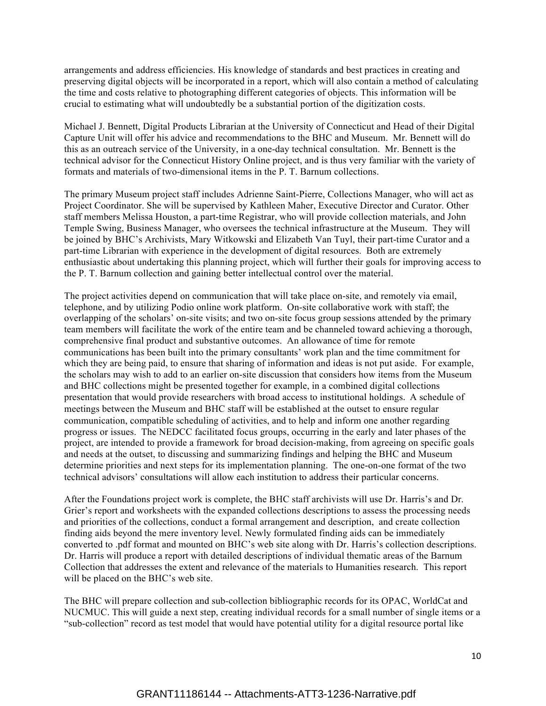arrangements and address efficiencies. His knowledge of standards and best practices in creating and preserving digital objects will be incorporated in a report, which will also contain a method of calculating the time and costs relative to photographing different categories of objects. This information will be crucial to estimating what will undoubtedly be a substantial portion of the digitization costs.

Michael J. Bennett, Digital Products Librarian at the University of Connecticut and Head of their Digital Capture Unit will offer his advice and recommendations to the BHC and Museum. Mr. Bennett will do this as an outreach service of the University, in a one-day technical consultation. Mr. Bennett is the technical advisor for the Connecticut History Online project, and is thus very familiar with the variety of formats and materials of two-dimensional items in the P. T. Barnum collections.

The primary Museum project staff includes Adrienne Saint-Pierre, Collections Manager, who will act as Project Coordinator. She will be supervised by Kathleen Maher, Executive Director and Curator. Other staff members Melissa Houston, a part-time Registrar, who will provide collection materials, and John Temple Swing, Business Manager, who oversees the technical infrastructure at the Museum. They will be joined by BHC's Archivists, Mary Witkowski and Elizabeth Van Tuyl, their part-time Curator and a part-time Librarian with experience in the development of digital resources. Both are extremely enthusiastic about undertaking this planning project, which will further their goals for improving access to the P. T. Barnum collection and gaining better intellectual control over the material.

The project activities depend on communication that will take place on-site, and remotely via email, telephone, and by utilizing Podio online work platform. On-site collaborative work with staff; the overlapping of the scholars' on-site visits; and two on-site focus group sessions attended by the primary team members will facilitate the work of the entire team and be channeled toward achieving a thorough, comprehensive final product and substantive outcomes. An allowance of time for remote communications has been built into the primary consultants' work plan and the time commitment for which they are being paid, to ensure that sharing of information and ideas is not put aside. For example, the scholars may wish to add to an earlier on-site discussion that considers how items from the Museum and BHC collections might be presented together for example, in a combined digital collections presentation that would provide researchers with broad access to institutional holdings. A schedule of meetings between the Museum and BHC staff will be established at the outset to ensure regular communication, compatible scheduling of activities, and to help and inform one another regarding progress or issues. The NEDCC facilitated focus groups, occurring in the early and later phases of the project, are intended to provide a framework for broad decision-making, from agreeing on specific goals and needs at the outset, to discussing and summarizing findings and helping the BHC and Museum determine priorities and next steps for its implementation planning. The one-on-one format of the two technical advisors' consultations will allow each institution to address their particular concerns.

After the Foundations project work is complete, the BHC staff archivists will use Dr. Harris's and Dr. Grier's report and worksheets with the expanded collections descriptions to assess the processing needs and priorities of the collections, conduct a formal arrangement and description, and create collection finding aids beyond the mere inventory level. Newly formulated finding aids can be immediately converted to .pdf format and mounted on BHC's web site along with Dr. Harris's collection descriptions. Dr. Harris will produce a report with detailed descriptions of individual thematic areas of the Barnum Collection that addresses the extent and relevance of the materials to Humanities research. This report will be placed on the BHC's web site.

The BHC will prepare collection and sub-collection bibliographic records for its OPAC, WorldCat and NUCMUC. This will guide a next step, creating individual records for a small number of single items or a "sub-collection" record as test model that would have potential utility for a digital resource portal like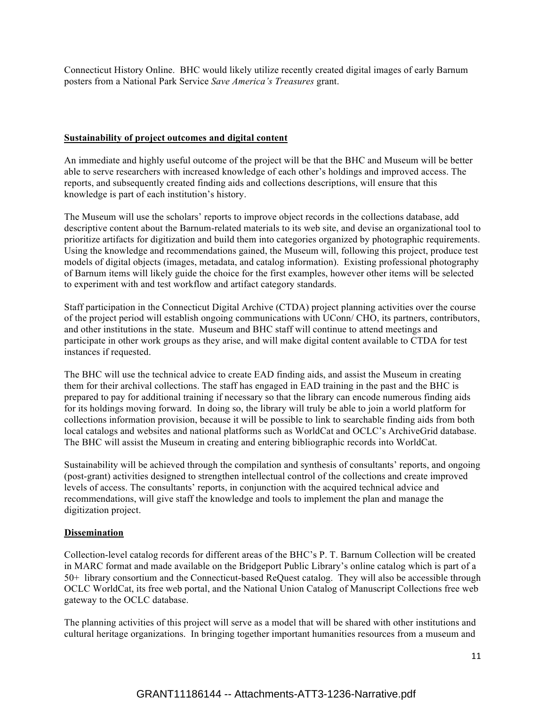Connecticut History Online. BHC would likely utilize recently created digital images of early Barnum posters from a National Park Service *Save America's Treasures* grant.

#### **Sustainability of project outcomes and digital content**

An immediate and highly useful outcome of the project will be that the BHC and Museum will be better able to serve researchers with increased knowledge of each other's holdings and improved access. The reports, and subsequently created finding aids and collections descriptions, will ensure that this knowledge is part of each institution's history.

The Museum will use the scholars' reports to improve object records in the collections database, add descriptive content about the Barnum-related materials to its web site, and devise an organizational tool to prioritize artifacts for digitization and build them into categories organized by photographic requirements. Using the knowledge and recommendations gained, the Museum will, following this project, produce test models of digital objects (images, metadata, and catalog information). Existing professional photography of Barnum items will likely guide the choice for the first examples, however other items will be selected to experiment with and test workflow and artifact category standards.

Staff participation in the Connecticut Digital Archive (CTDA) project planning activities over the course of the project period will establish ongoing communications with UConn/ CHO, its partners, contributors, and other institutions in the state. Museum and BHC staff will continue to attend meetings and participate in other work groups as they arise, and will make digital content available to CTDA for test instances if requested.

The BHC will use the technical advice to create EAD finding aids, and assist the Museum in creating them for their archival collections. The staff has engaged in EAD training in the past and the BHC is prepared to pay for additional training if necessary so that the library can encode numerous finding aids for its holdings moving forward. In doing so, the library will truly be able to join a world platform for collections information provision, because it will be possible to link to searchable finding aids from both local catalogs and websites and national platforms such as WorldCat and OCLC's ArchiveGrid database. The BHC will assist the Museum in creating and entering bibliographic records into WorldCat.

Sustainability will be achieved through the compilation and synthesis of consultants' reports, and ongoing (post-grant) activities designed to strengthen intellectual control of the collections and create improved levels of access. The consultants' reports, in conjunction with the acquired technical advice and recommendations, will give staff the knowledge and tools to implement the plan and manage the digitization project.

#### **Dissemination**

Collection-level catalog records for different areas of the BHC's P. T. Barnum Collection will be created in MARC format and made available on the Bridgeport Public Library's online catalog which is part of a 50+ library consortium and the Connecticut-based ReQuest catalog. They will also be accessible through OCLC WorldCat, its free web portal, and the National Union Catalog of Manuscript Collections free web gateway to the OCLC database.

The planning activities of this project will serve as a model that will be shared with other institutions and cultural heritage organizations. In bringing together important humanities resources from a museum and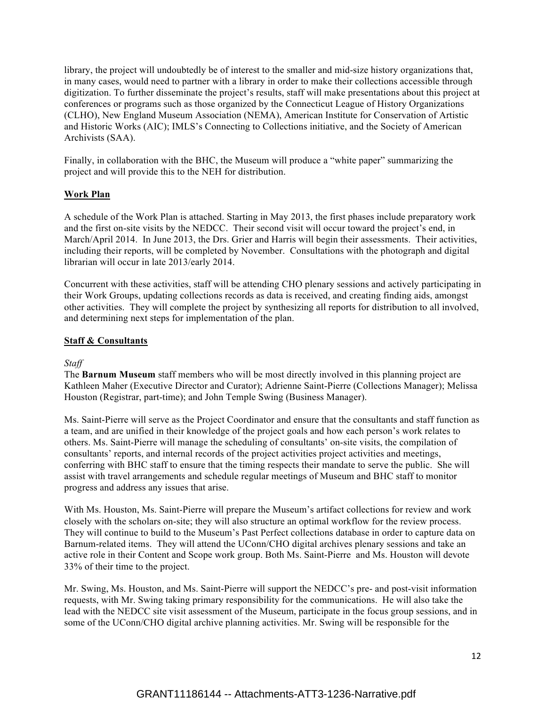library, the project will undoubtedly be of interest to the smaller and mid-size history organizations that, in many cases, would need to partner with a library in order to make their collections accessible through digitization. To further disseminate the project's results, staff will make presentations about this project at conferences or programs such as those organized by the Connecticut League of History Organizations (CLHO), New England Museum Association (NEMA), American Institute for Conservation of Artistic and Historic Works (AIC); IMLS's Connecting to Collections initiative, and the Society of American Archivists (SAA).

Finally, in collaboration with the BHC, the Museum will produce a "white paper" summarizing the project and will provide this to the NEH for distribution.

## **Work Plan**

A schedule of the Work Plan is attached. Starting in May 2013, the first phases include preparatory work and the first on-site visits by the NEDCC. Their second visit will occur toward the project's end, in March/April 2014. In June 2013, the Drs. Grier and Harris will begin their assessments. Their activities, including their reports, will be completed by November. Consultations with the photograph and digital librarian will occur in late 2013/early 2014.

Concurrent with these activities, staff will be attending CHO plenary sessions and actively participating in their Work Groups, updating collections records as data is received, and creating finding aids, amongst other activities. They will complete the project by synthesizing all reports for distribution to all involved, and determining next steps for implementation of the plan.

#### **Staff & Consultants**

#### *Staff*

The **Barnum Museum** staff members who will be most directly involved in this planning project are Kathleen Maher (Executive Director and Curator); Adrienne Saint-Pierre (Collections Manager); Melissa Houston (Registrar, part-time); and John Temple Swing (Business Manager).

Ms. Saint-Pierre will serve as the Project Coordinator and ensure that the consultants and staff function as a team, and are unified in their knowledge of the project goals and how each person's work relates to others. Ms. Saint-Pierre will manage the scheduling of consultants' on-site visits, the compilation of consultants' reports, and internal records of the project activities project activities and meetings, conferring with BHC staff to ensure that the timing respects their mandate to serve the public. She will assist with travel arrangements and schedule regular meetings of Museum and BHC staff to monitor progress and address any issues that arise.

With Ms. Houston, Ms. Saint-Pierre will prepare the Museum's artifact collections for review and work closely with the scholars on-site; they will also structure an optimal workflow for the review process. They will continue to build to the Museum's Past Perfect collections database in order to capture data on Barnum-related items. They will attend the UConn/CHO digital archives plenary sessions and take an active role in their Content and Scope work group. Both Ms. Saint-Pierre and Ms. Houston will devote 33% of their time to the project.

Mr. Swing, Ms. Houston, and Ms. Saint-Pierre will support the NEDCC's pre- and post-visit information requests, with Mr. Swing taking primary responsibility for the communications. He will also take the lead with the NEDCC site visit assessment of the Museum, participate in the focus group sessions, and in some of the UConn/CHO digital archive planning activities. Mr. Swing will be responsible for the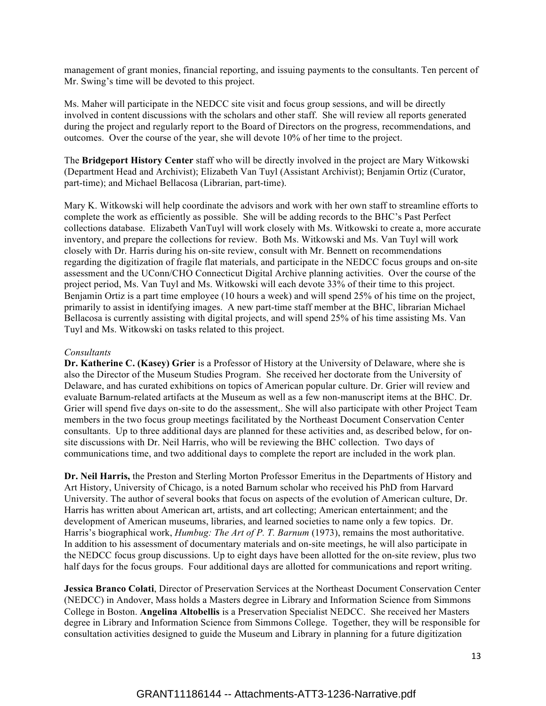management of grant monies, financial reporting, and issuing payments to the consultants. Ten percent of Mr. Swing's time will be devoted to this project.

Ms. Maher will participate in the NEDCC site visit and focus group sessions, and will be directly involved in content discussions with the scholars and other staff. She will review all reports generated during the project and regularly report to the Board of Directors on the progress, recommendations, and outcomes. Over the course of the year, she will devote 10% of her time to the project.

The **Bridgeport History Center** staff who will be directly involved in the project are Mary Witkowski (Department Head and Archivist); Elizabeth Van Tuyl (Assistant Archivist); Benjamin Ortiz (Curator, part-time); and Michael Bellacosa (Librarian, part-time).

Mary K. Witkowski will help coordinate the advisors and work with her own staff to streamline efforts to complete the work as efficiently as possible. She will be adding records to the BHC's Past Perfect collections database. Elizabeth VanTuyl will work closely with Ms. Witkowski to create a, more accurate inventory, and prepare the collections for review. Both Ms. Witkowski and Ms. Van Tuyl will work closely with Dr. Harris during his on-site review, consult with Mr. Bennett on recommendations regarding the digitization of fragile flat materials, and participate in the NEDCC focus groups and on-site assessment and the UConn/CHO Connecticut Digital Archive planning activities. Over the course of the project period, Ms. Van Tuyl and Ms. Witkowski will each devote 33% of their time to this project. Benjamin Ortiz is a part time employee (10 hours a week) and will spend 25% of his time on the project, primarily to assist in identifying images. A new part-time staff member at the BHC, librarian Michael Bellacosa is currently assisting with digital projects, and will spend 25% of his time assisting Ms. Van Tuyl and Ms. Witkowski on tasks related to this project.

#### *Consultants*

**Dr. Katherine C. (Kasey) Grier** is a Professor of History at the University of Delaware, where she is also the Director of the Museum Studies Program. She received her doctorate from the University of Delaware, and has curated exhibitions on topics of American popular culture. Dr. Grier will review and evaluate Barnum-related artifacts at the Museum as well as a few non-manuscript items at the BHC. Dr. Grier will spend five days on-site to do the assessment,. She will also participate with other Project Team members in the two focus group meetings facilitated by the Northeast Document Conservation Center consultants. Up to three additional days are planned for these activities and, as described below, for onsite discussions with Dr. Neil Harris, who will be reviewing the BHC collection. Two days of communications time, and two additional days to complete the report are included in the work plan.

**Dr. Neil Harris,** the Preston and Sterling Morton Professor Emeritus in the Departments of History and Art History, University of Chicago, is a noted Barnum scholar who received his PhD from Harvard University. The author of several books that focus on aspects of the evolution of American culture, Dr. Harris has written about American art, artists, and art collecting; American entertainment; and the development of American museums, libraries, and learned societies to name only a few topics. Dr. Harris's biographical work, *Humbug: The Art of P. T. Barnum* (1973), remains the most authoritative. In addition to his assessment of documentary materials and on-site meetings, he will also participate in the NEDCC focus group discussions. Up to eight days have been allotted for the on-site review, plus two half days for the focus groups. Four additional days are allotted for communications and report writing.

**Jessica Branco Colati**, Director of Preservation Services at the Northeast Document Conservation Center (NEDCC) in Andover, Mass holds a Masters degree in Library and Information Science from Simmons College in Boston. **Angelina Altobellis** is a Preservation Specialist NEDCC. She received her Masters degree in Library and Information Science from Simmons College. Together, they will be responsible for consultation activities designed to guide the Museum and Library in planning for a future digitization